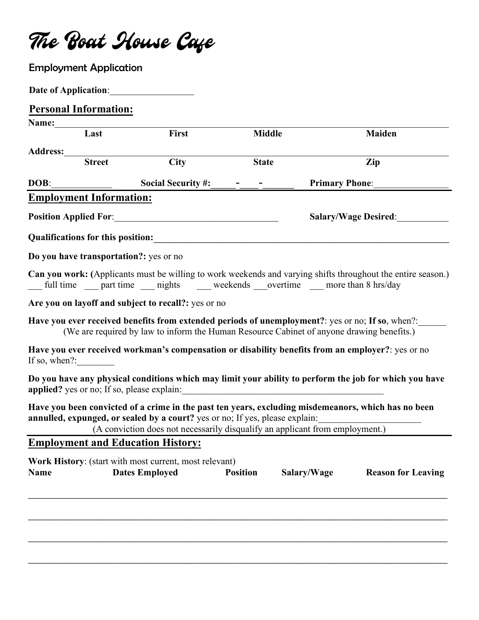The Boat House Cafe

|             | <b>Employment Application</b>  |                                                                                                                                                                                                                                                                     |                 |                       |                           |
|-------------|--------------------------------|---------------------------------------------------------------------------------------------------------------------------------------------------------------------------------------------------------------------------------------------------------------------|-----------------|-----------------------|---------------------------|
|             |                                | <b>Date of Application:</b>                                                                                                                                                                                                                                         |                 |                       |                           |
|             | <b>Personal Information:</b>   |                                                                                                                                                                                                                                                                     |                 |                       |                           |
|             | Name: Last                     |                                                                                                                                                                                                                                                                     |                 |                       |                           |
|             |                                | First                                                                                                                                                                                                                                                               | <b>Middle</b>   |                       | <b>Maiden</b>             |
|             |                                |                                                                                                                                                                                                                                                                     |                 |                       |                           |
|             |                                | <b>City</b>                                                                                                                                                                                                                                                         | <b>State</b>    |                       | Zip                       |
| DOB:        |                                | <b>Social Security #:</b>                                                                                                                                                                                                                                           |                 | <b>Primary Phone:</b> |                           |
|             | <b>Employment Information:</b> |                                                                                                                                                                                                                                                                     |                 |                       |                           |
|             | <b>Salary/Wage Desired:</b>    |                                                                                                                                                                                                                                                                     |                 |                       |                           |
|             |                                | Qualifications for this position:                                                                                                                                                                                                                                   |                 |                       |                           |
|             |                                | Do you have transportation?: yes or no                                                                                                                                                                                                                              |                 |                       |                           |
|             |                                | Can you work: (Applicants must be willing to work weekends and varying shifts throughout the entire season.)<br>__ full time __ part time __ nights __ weekends __ overtime __ more than 8 hrs/day                                                                  |                 |                       |                           |
|             |                                | Are you on layoff and subject to recall?: yes or no                                                                                                                                                                                                                 |                 |                       |                           |
|             |                                | Have you ever received benefits from extended periods of unemployment?: yes or no; If so, when?:<br>(We are required by law to inform the Human Resource Cabinet of anyone drawing benefits.)                                                                       |                 |                       |                           |
|             | If so, when $?$ :              | Have you ever received workman's compensation or disability benefits from an employer?: yes or no                                                                                                                                                                   |                 |                       |                           |
|             |                                | Do you have any physical conditions which may limit your ability to perform the job for which you have                                                                                                                                                              |                 |                       |                           |
|             |                                | Have you been convicted of a crime in the past ten years, excluding misdemeanors, which has no been<br>annulled, expunged, or sealed by a court? yes or no; If yes, please explain:<br>(A conviction does not necessarily disqualify an applicant from employment.) |                 |                       |                           |
|             |                                | <b>Employment and Education History:</b>                                                                                                                                                                                                                            |                 |                       |                           |
| <b>Name</b> |                                | Work History: (start with most current, most relevant)<br><b>Dates Employed</b>                                                                                                                                                                                     | <b>Position</b> | Salary/Wage           | <b>Reason for Leaving</b> |
|             |                                |                                                                                                                                                                                                                                                                     |                 |                       |                           |
|             |                                |                                                                                                                                                                                                                                                                     |                 |                       |                           |
|             |                                |                                                                                                                                                                                                                                                                     |                 |                       |                           |
|             |                                |                                                                                                                                                                                                                                                                     |                 |                       |                           |
|             |                                |                                                                                                                                                                                                                                                                     |                 |                       |                           |
|             |                                |                                                                                                                                                                                                                                                                     |                 |                       |                           |